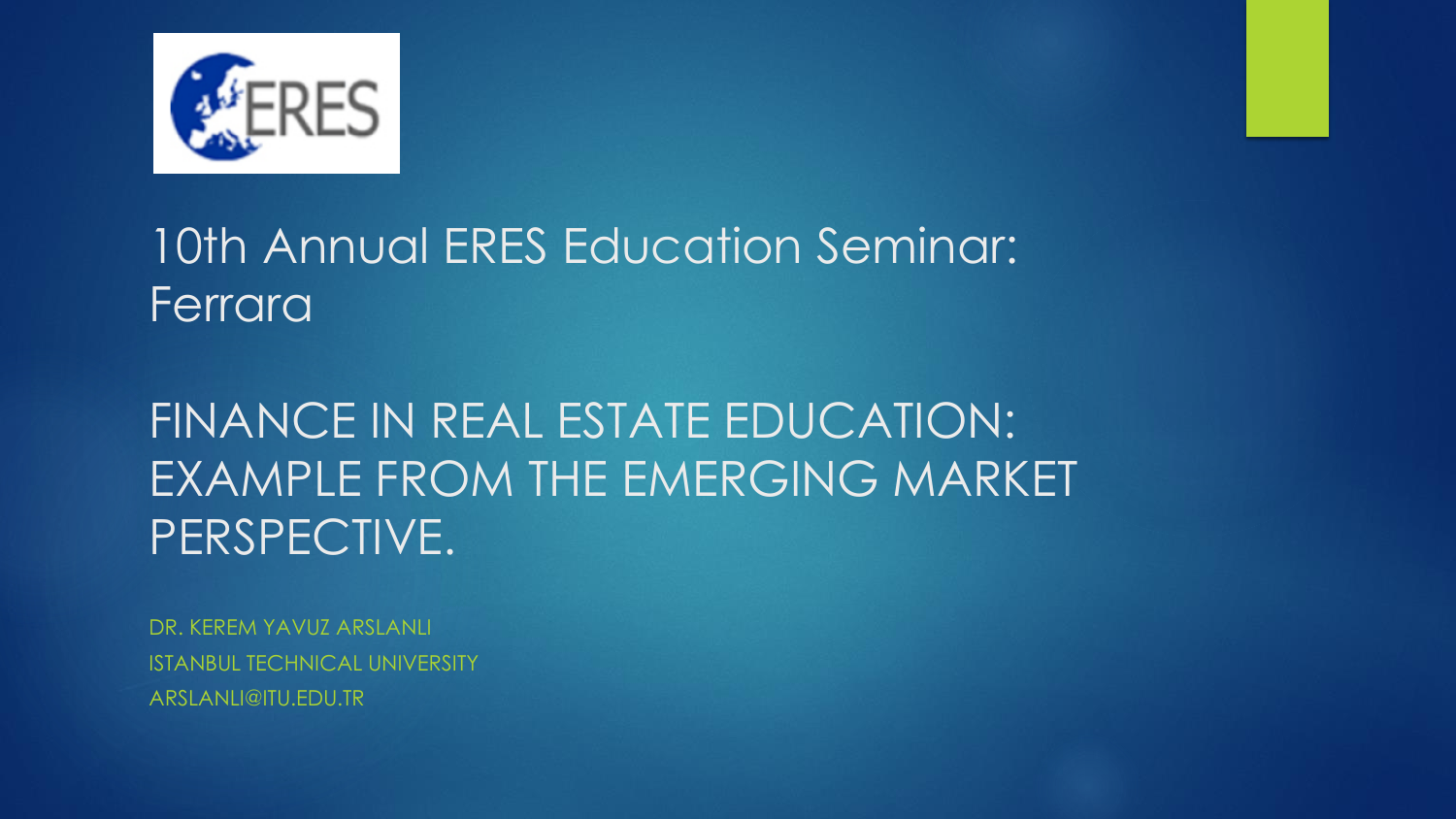



FINANCE IN REAL ESTATE EDUCATION: EXAMPLE FROM THE EMERGING MARKET PERSPECTIVE.

DR. KEREM YAVUZ ARSLANLI ISTANBUL TECHNICAL UNIVERSITY ARSLANLI@ITU.EDU.TR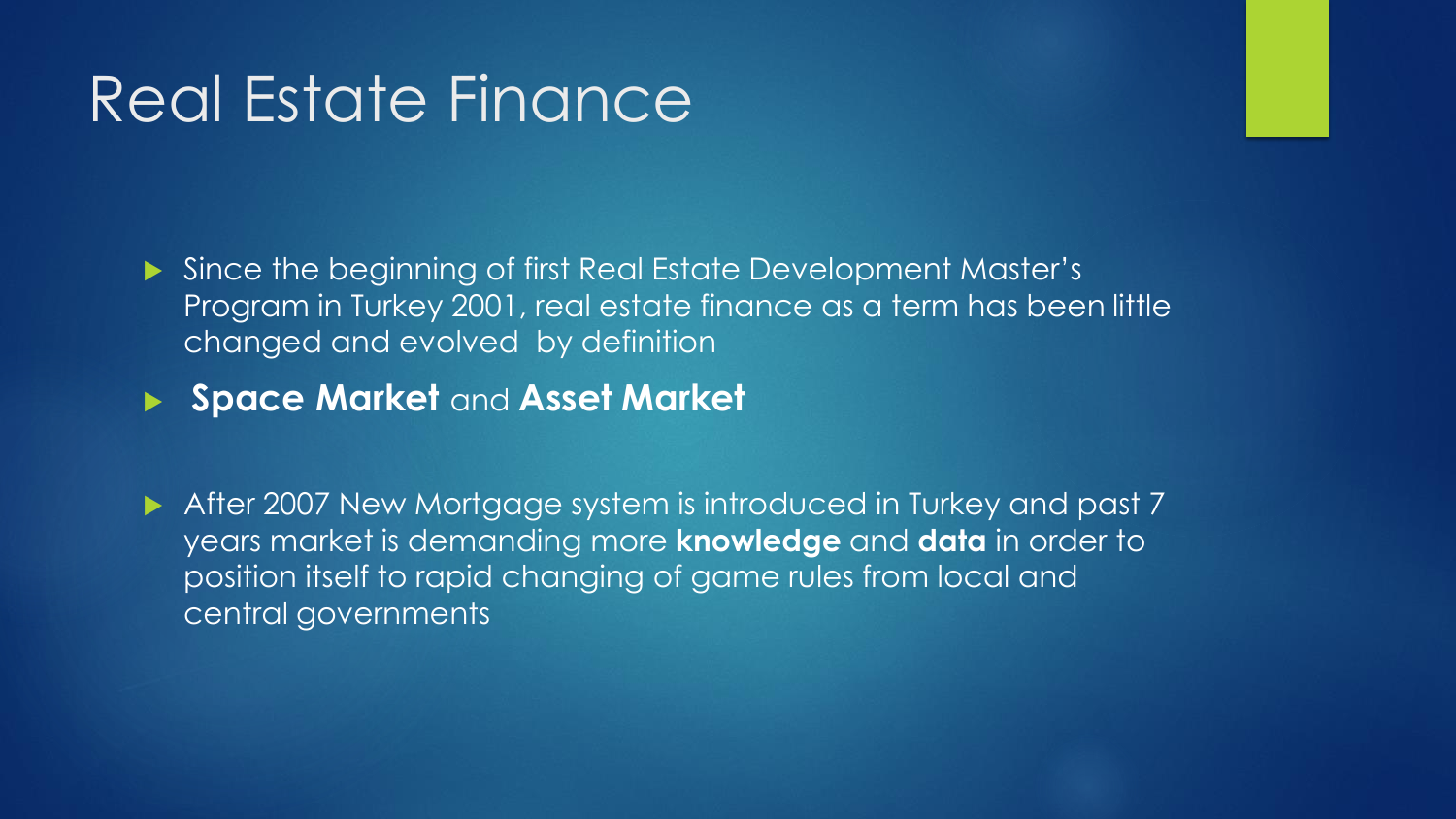### Real Estate Finance

Since the beginning of first Real Estate Development Master's Program in Turkey 2001, real estate finance as a term has been little changed and evolved by definition

**Space Market** and **Asset Market**

After 2007 New Mortgage system is introduced in Turkey and past 7 years market is demanding more **knowledge** and **data** in order to position itself to rapid changing of game rules from local and central governments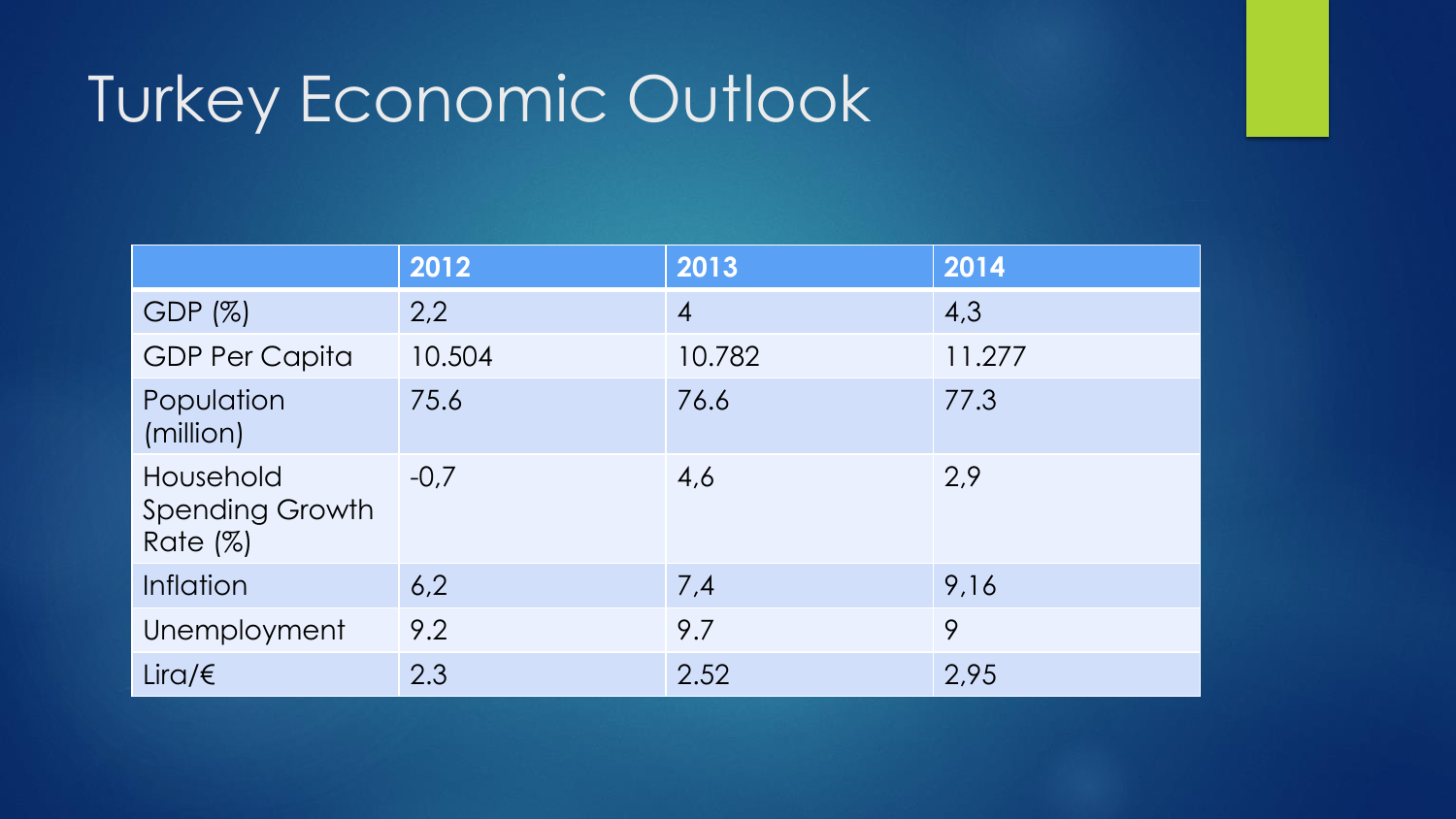# Turkey Economic Outlook

|                                                    | 2012   | 2013           | 2014   |
|----------------------------------------------------|--------|----------------|--------|
| GDP (%)                                            | 2,2    | $\overline{4}$ | 4,3    |
| <b>GDP Per Capita</b>                              | 10.504 | 10.782         | 11.277 |
| Population<br>(million)                            | 75.6   | 76.6           | 77.3   |
| Household<br><b>Spending Growth</b><br>Rate $(\%)$ | $-0.7$ | 4,6            | 2.9    |
| <b>Inflation</b>                                   | 6,2    | 7,4            | 9,16   |
| Unemployment                                       | 9.2    | 9.7            | 9      |
| Lira/ $\xi$                                        | 2.3    | 2.52           | 2,95   |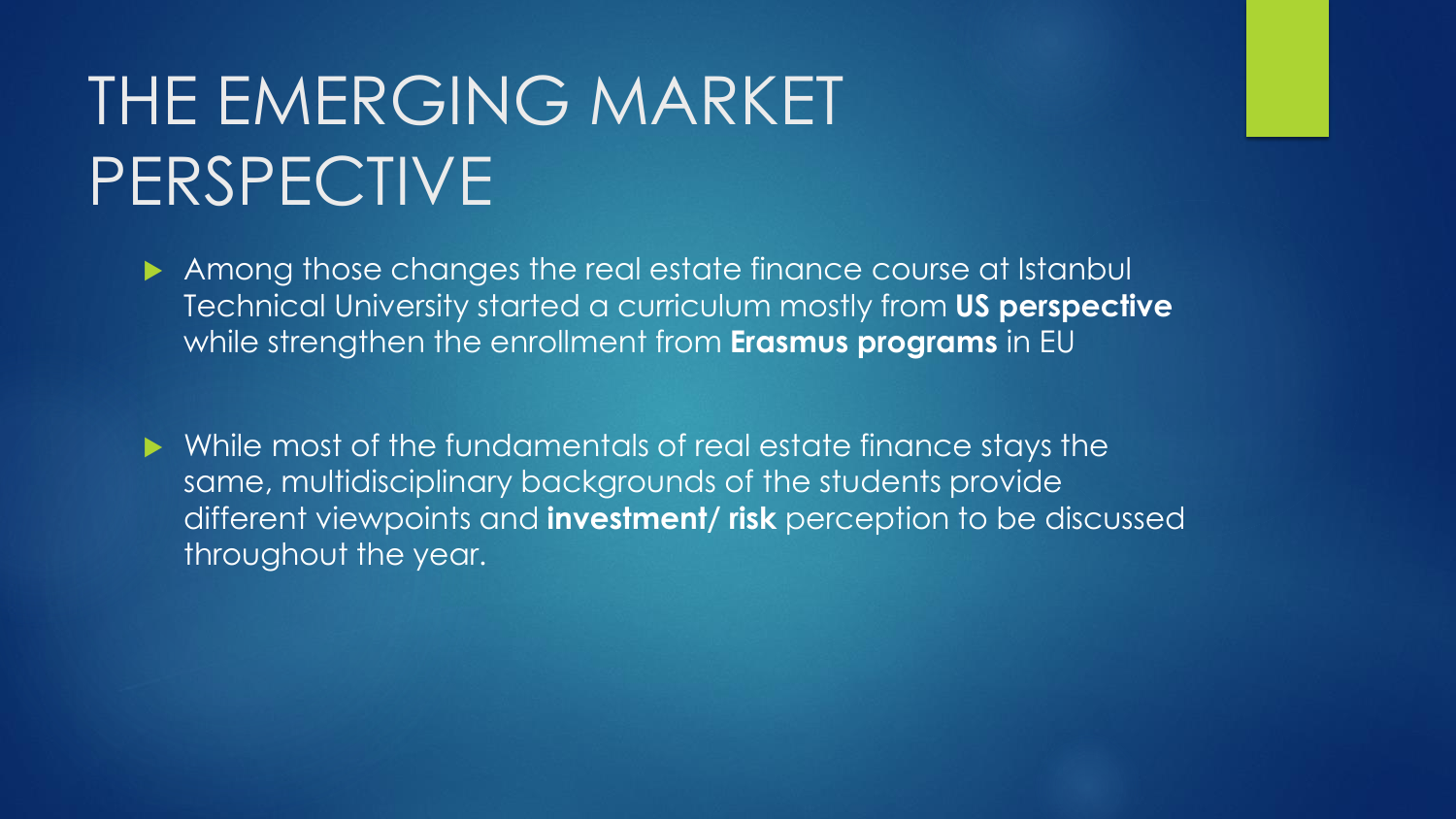# THE EMERGING MARKET PERSPECTIVE

Among those changes the real estate finance course at Istanbul Technical University started a curriculum mostly from **US perspective**  while strengthen the enrollment from **Erasmus programs** in EU

 While most of the fundamentals of real estate finance stays the same, multidisciplinary backgrounds of the students provide different viewpoints and **investment/ risk** perception to be discussed throughout the year.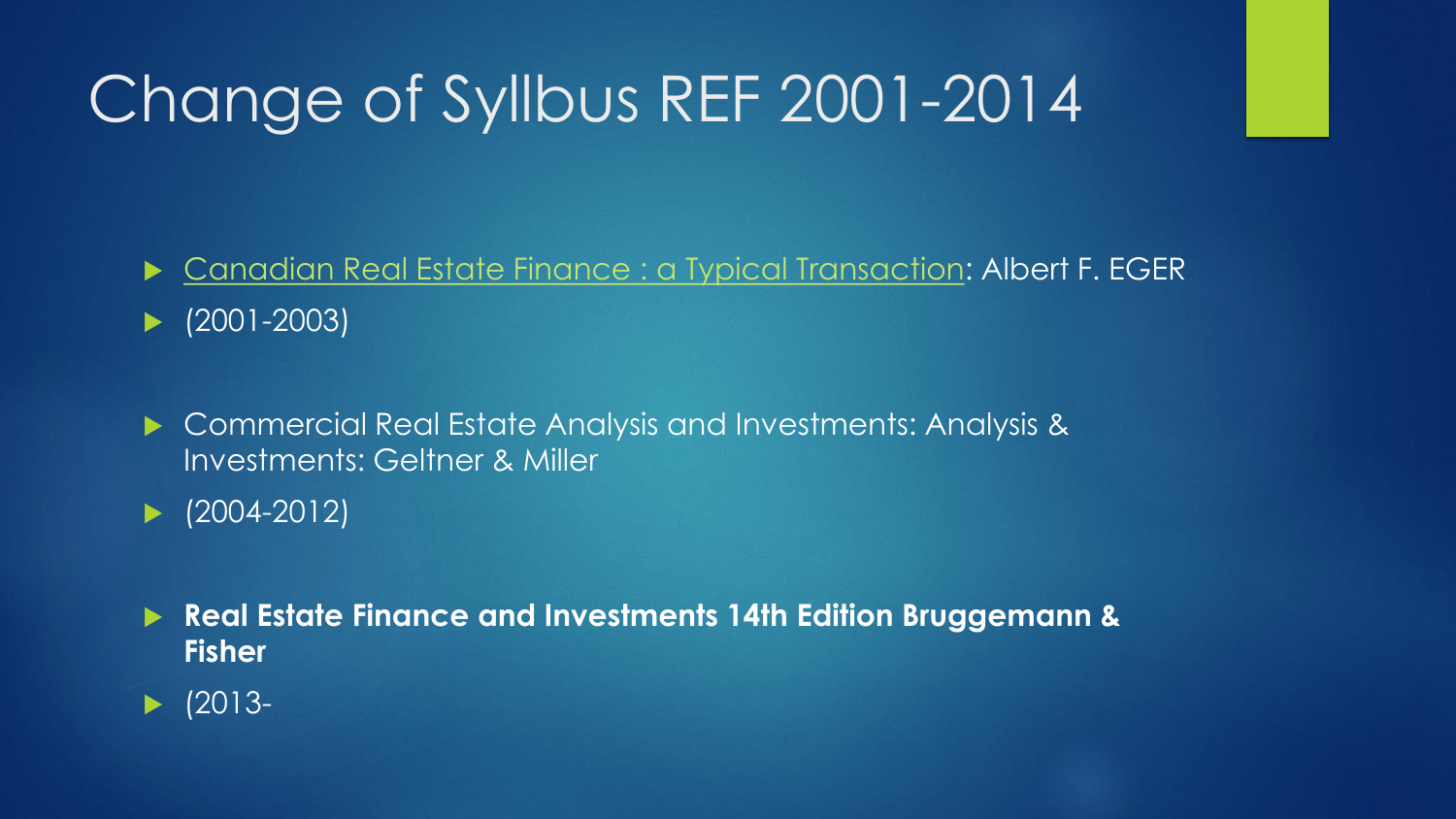# Change of Syllbus REF 2001-2014

Canadian Real Estate [Finance : a Typical](http://books.google.it/books?id=tSxqAAAACAAJ&dq=inauthor:%22A.+F.+%28Albert+Frederic%29+Eger%22&hl=it&sa=X&ei=-buAVJrtAcWrPNTTgcgF&ved=0CCcQ6AEwAQ) Transaction: Albert F. EGER

(2001-2003)

▶ Commercial Real Estate Analysis and Investments: Analysis & Investments: Geltner & Miller

 $\blacktriangleright$  (2004-2012)

 **Real Estate Finance and Investments 14th Edition Bruggemann & Fisher**

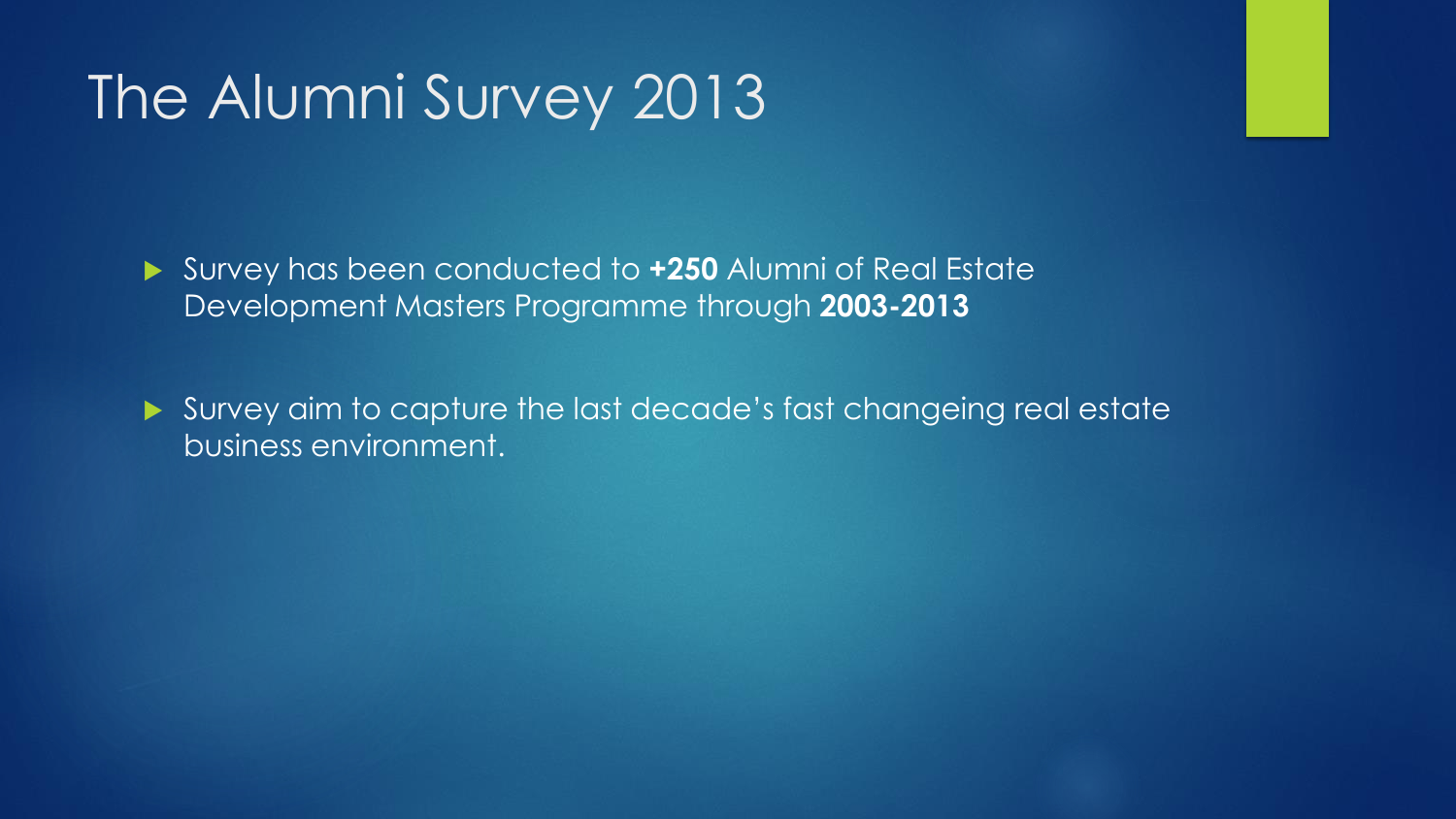### The Alumni Survey 2013

 Survey has been conducted to **+250** Alumni of Real Estate Development Masters Programme through **2003-2013**

 Survey aim to capture the last decade's fast changeing real estate business environment.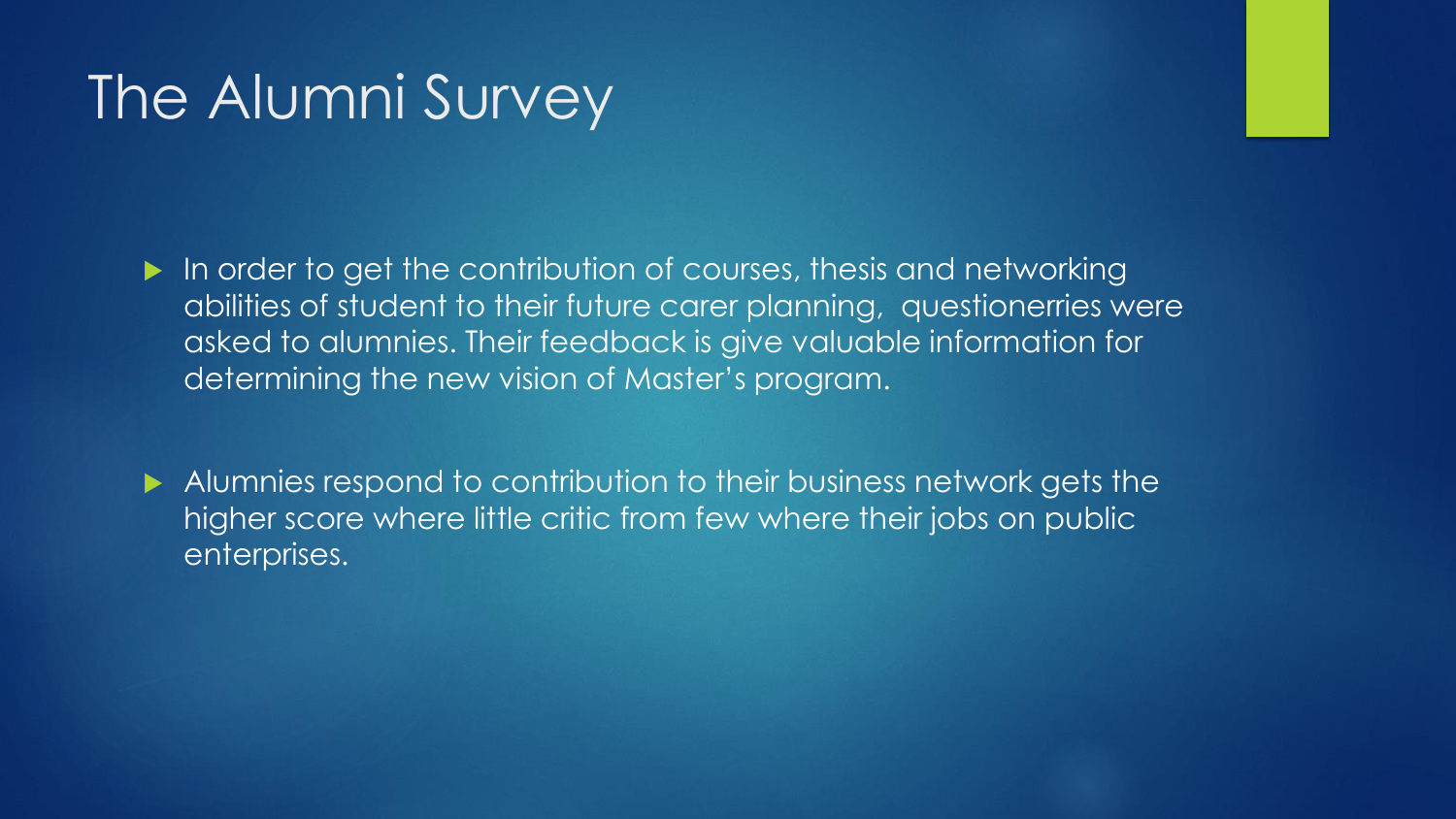### The Alumni Survey

In order to get the contribution of courses, thesis and networking abilities of student to their future carer planning, questionerries were asked to alumnies. Their feedback is give valuable information for determining the new vision of Master's program.

Alumnies respond to contribution to their business network gets the higher score where little critic from few where their jobs on public enterprises.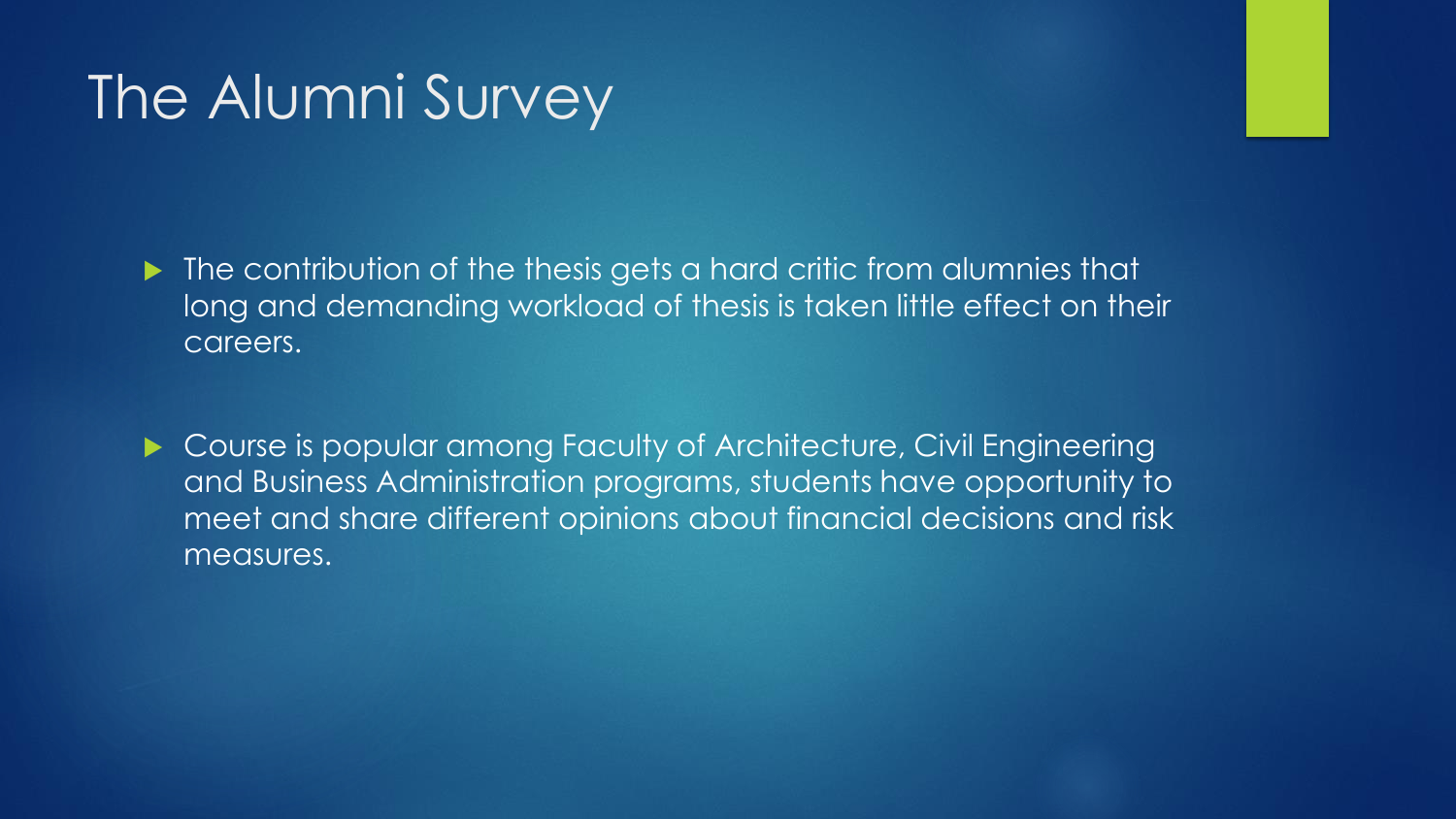### The Alumni Survey

 $\blacktriangleright$  The contribution of the thesis gets a hard critic from alumnies that long and demanding workload of thesis is taken little effect on their careers.

▶ Course is popular among Faculty of Architecture, Civil Engineering and Business Administration programs, students have opportunity to meet and share different opinions about financial decisions and risk measures.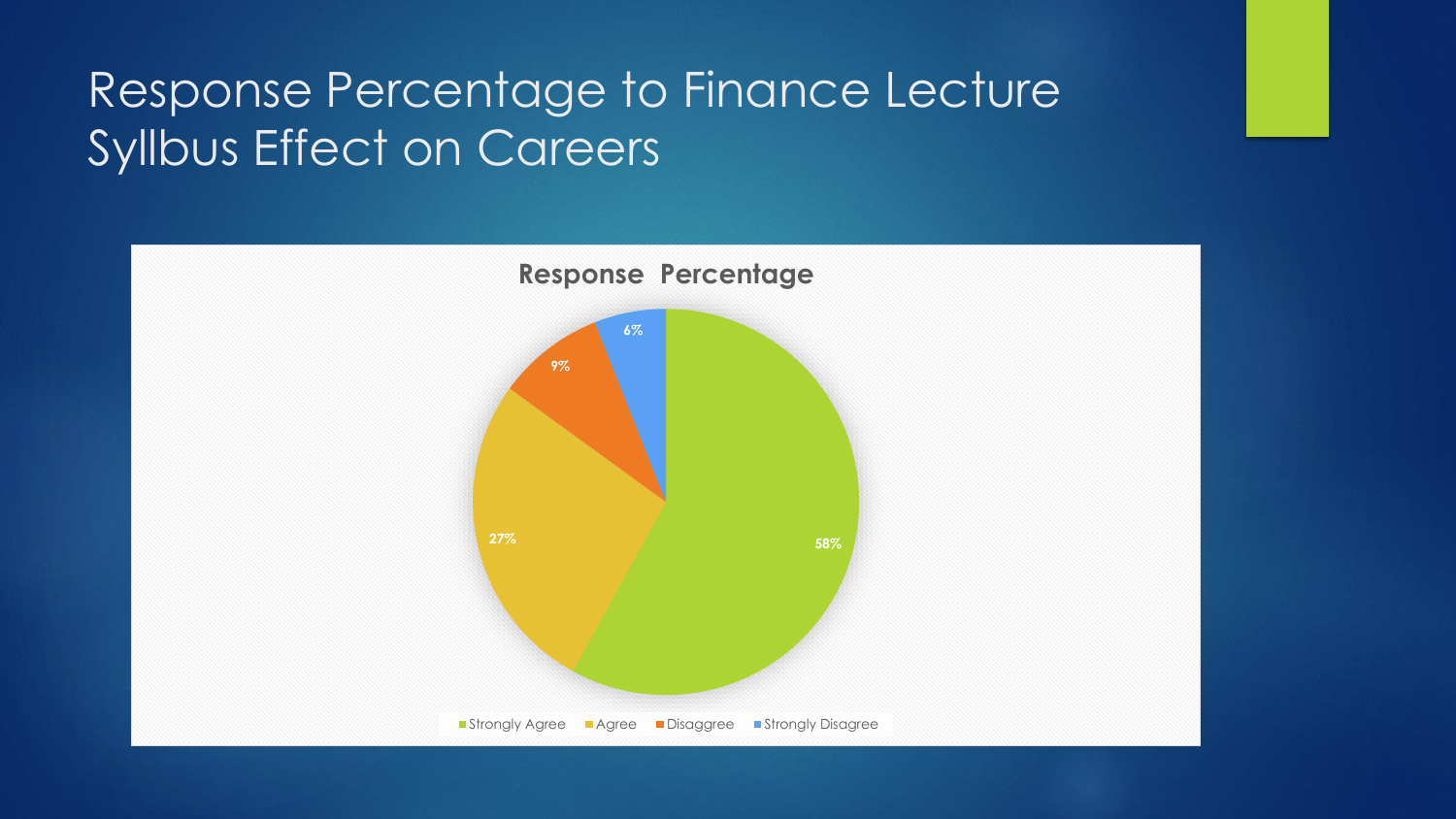#### Response Percentage to Finance Lecture Syllbus Effect on Careers

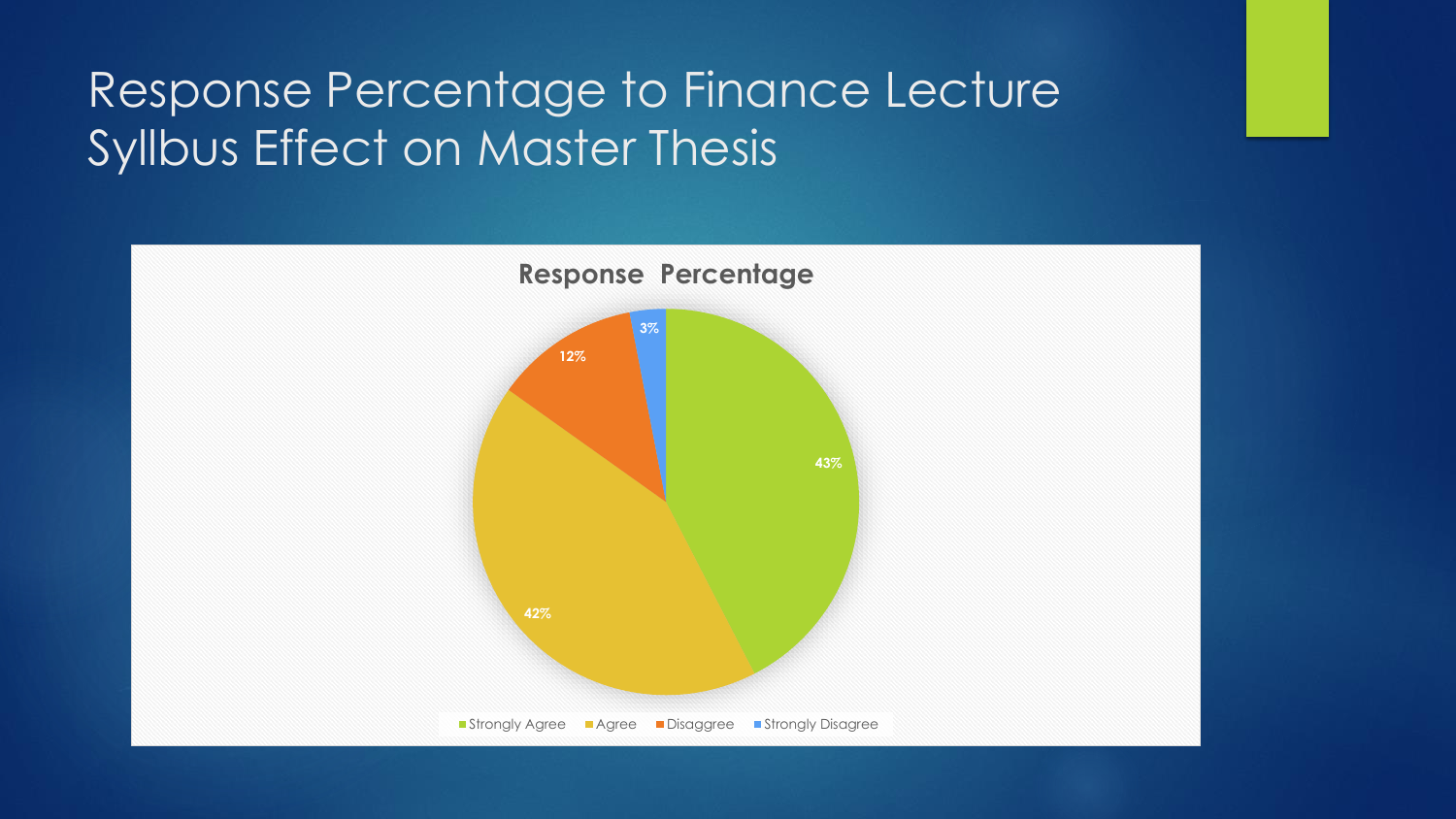#### Response Percentage to Finance Lecture Syllbus Effect on Master Thesis

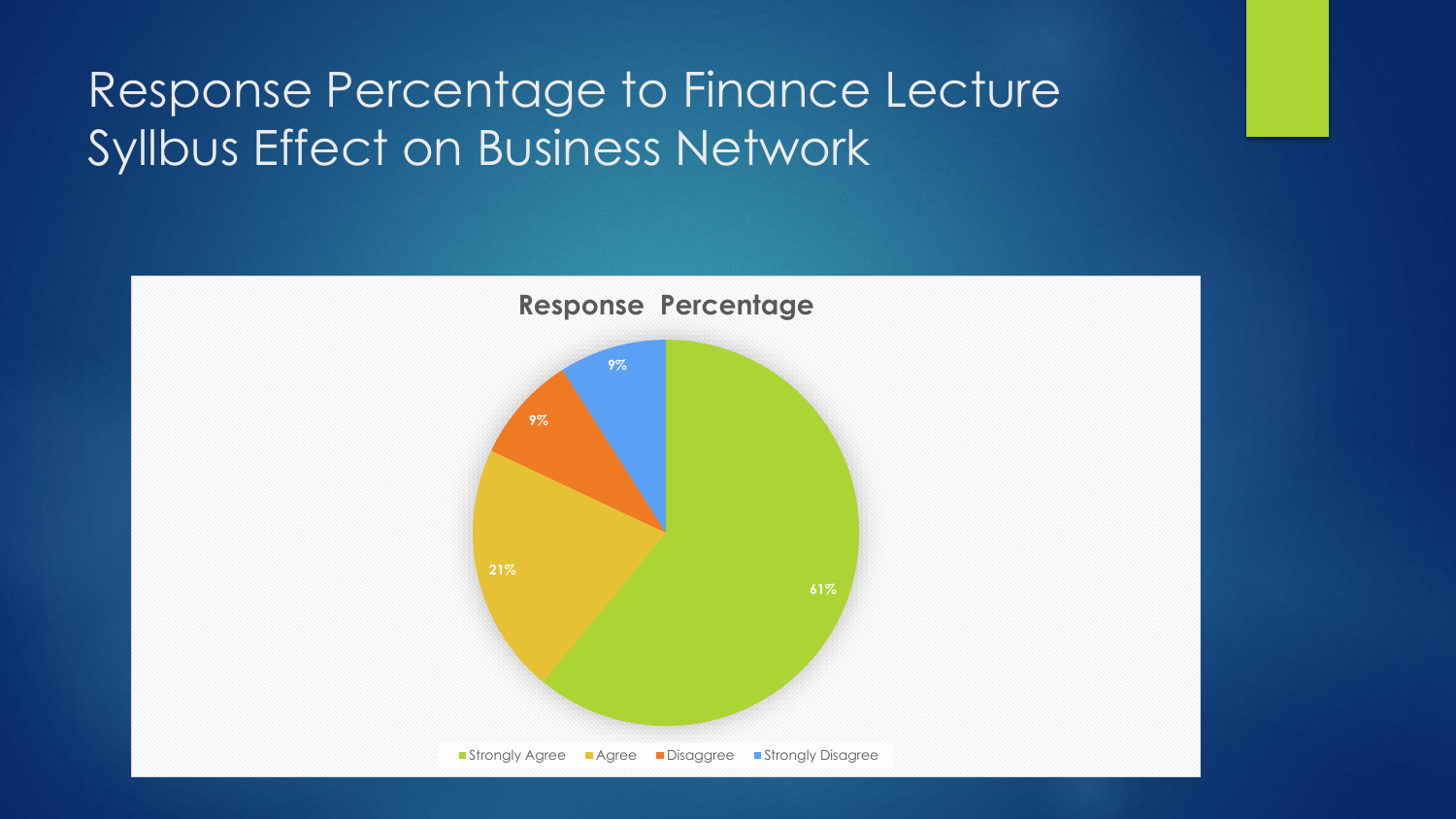#### Response Percentage to Finance Lecture Syllbus Effect on Business Network

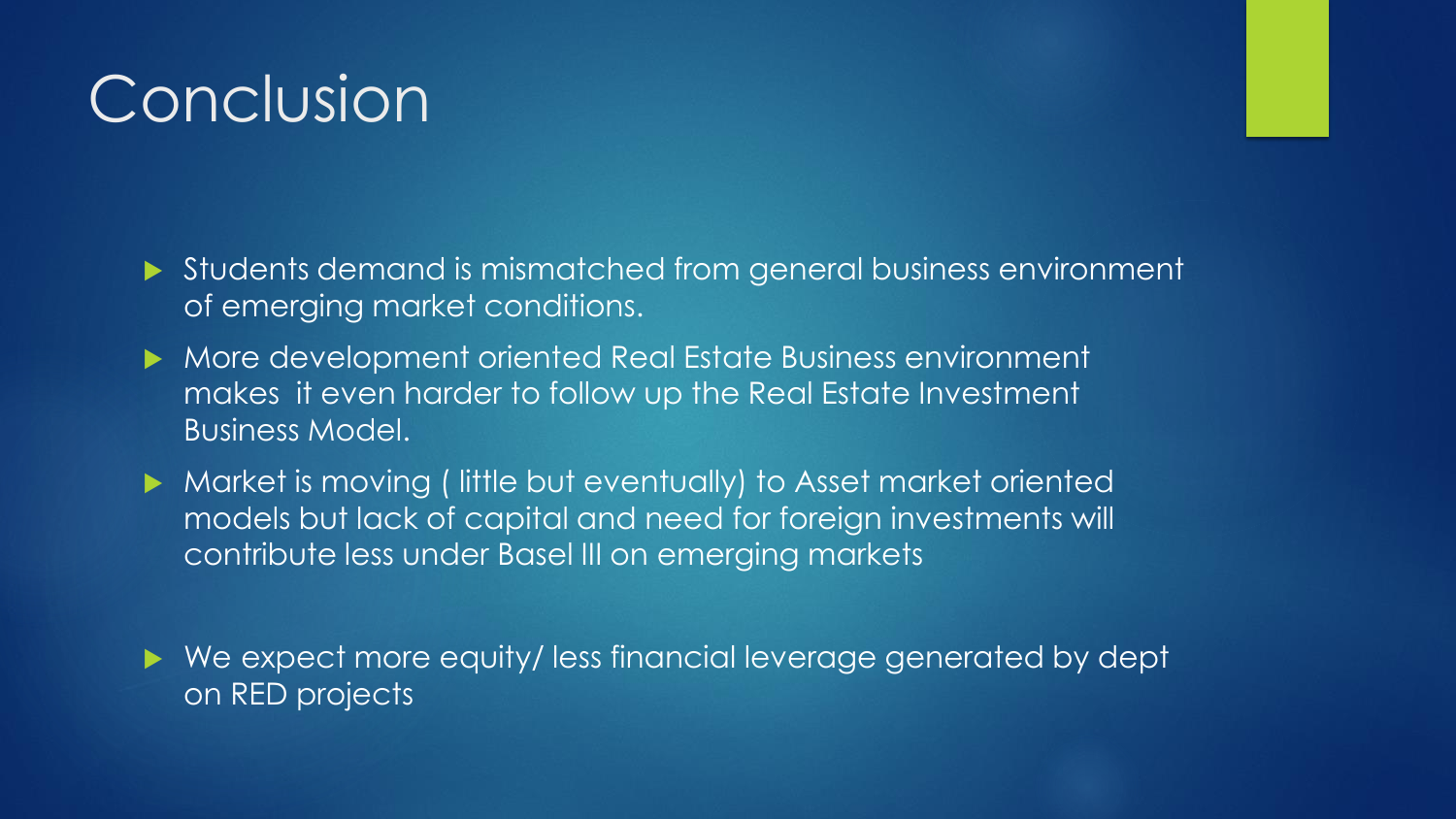# **Conclusion**

 Students demand is mismatched from general business environment of emerging market conditions.

- More development oriented Real Estate Business environment makes it even harder to follow up the Real Estate Investment Business Model.
- Market is moving ( little but eventually) to Asset market oriented models but lack of capital and need for foreign investments will contribute less under Basel III on emerging markets

 We expect more equity/ less financial leverage generated by dept on RED projects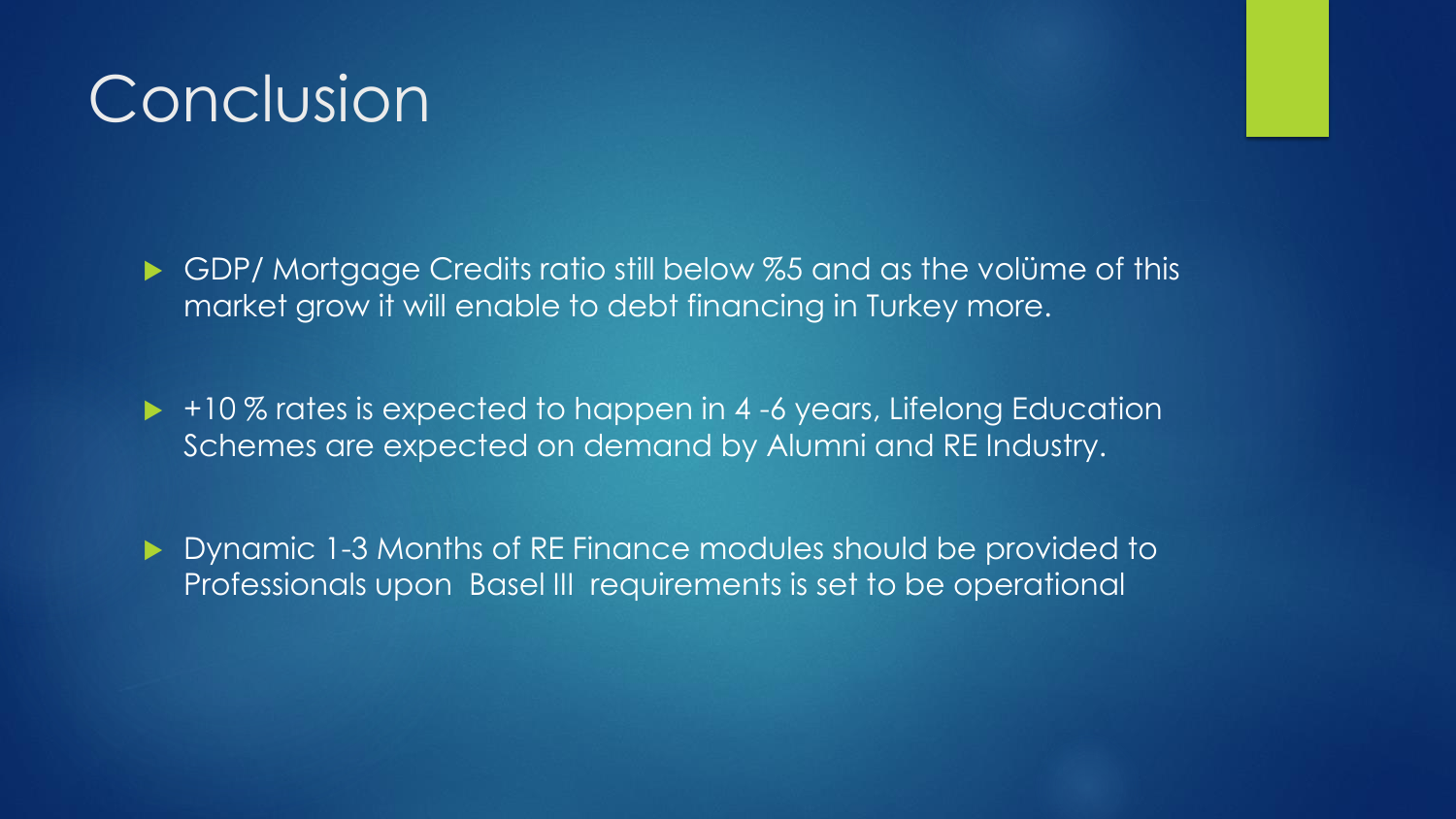## Conclusion

GDP/ Mortgage Credits ratio still below %5 and as the volüme of this market grow it will enable to debt financing in Turkey more.

 $\rightarrow$  +10 % rates is expected to happen in 4-6 years, Lifelong Education Schemes are expected on demand by Alumni and RE Industry.

Dynamic 1-3 Months of RE Finance modules should be provided to Professionals upon Basel III requirements is set to be operational